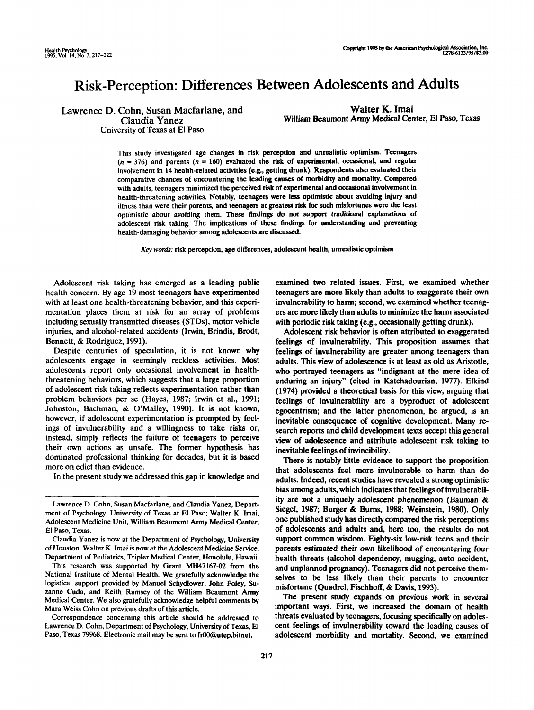# Risk-Perception: Differences Between Adolescents and Adults

Lawrence D. Cohn, Susan Macfarlane, and Claudia Yanez

Walter K. Imai William Beaumont Army Medical Center, El Paso, Texas

University of Texas at El Paso

This study investigated age changes in risk perception and unrealistic optimism. Teenagers  $(n = 376)$  and parents  $(n = 160)$  evaluated the risk of experimental, occasional, and regular involvement in 14 health-related activities (e.g., getting drunk). Respondents also evaluated their comparative chances of encountering the leading causes of morbidity and mortality. Compared with adults, teenagers minimized the perceived risk of experimental and occasional involvement in health-threatening activities. Notably, teenagers were less optimistic about avoiding injury and illness than were their parents, and teenagers at greatest risk for such misfortunes were the least optimistic about avoiding them. These findings do not support traditional explanations of adolescent risk taking. The implications of these findings for understanding and preventing health-damaging behavior among adolescents are discussed.

*Key words:* risk perception, age differences, adolescent health, unrealistic optimism

Adolescent risk taking has emerged as a leading public health concern. By age 19 most teenagers have experimented with at least one health-threatening behavior, and this experimentation places them at risk for an array of problems including sexually transmitted diseases (STDs), motor vehicle injuries, and alcohol-related accidents (Irwin, Brindis, Brodt, Bennett, & Rodriguez, 1991).

Despite centuries of speculation, it is not known why adolescents engage in seemingly reckless activities. Most adolescents report only occasional involvement in healththreatening behaviors, which suggests that a large proportion of adolescent risk taking reflects experimentation rather than problem behaviors per se (Hayes, 1987; Irwin et al., 1991; Johnston, Bachman, & O'Malley, 1990). It is not known, however, if adolescent experimentation is prompted by feelings of invulnerability and a willingness to take risks or, instead, simply reflects the failure of teenagers to perceive their own actions as unsafe. The former hypothesis has dominated professional thinking for decades, but it is based more on edict than evidence.

In the present study we addressed this gap in knowledge and

examined two related issues. First, we examined whether teenagers are more likely than adults to exaggerate their own invulnerability to harm; second, we examined whether teenagers are more likely than adults to minimize the harm associated with periodic risk taking (e.g., occasionally getting drunk).

Adolescent risk behavior is often attributed to exaggerated feelings of invulnerability. This proposition assumes that feelings of invulnerability are greater among teenagers than adults. This view of adolescence is at least as old as Aristotle, who portrayed teenagers as "indignant at the mere idea of enduring an injury" (cited in Katchadourian, 1977). Elkind (1974) provided a theoretical basis for this view, arguing that feelings of invulnerability are a byproduct of adolescent egocentrism; and the latter phenomenon, he argued, is an inevitable consequence of cognitive development. Many research reports and child development texts accept this general view of adolescence and attribute adolescent risk taking to inevitable feelings of invincibility.

There is notably little evidence to support the proposition that adolescents feel more invulnerable to harm than do adults. Indeed, recent studies have revealed a strong optimistic bias among adults, which indicates that feelings of invulnerability are not a uniquely adolescent phenomenon (Bauman & Siegel, 1987; Burger & Burns, 1988; Weinstein, 1980). Only one published study has directly compared the risk perceptions of adolescents and adults and, here too, the results do not support common wisdom. Eighty-six low-risk teens and their parents estimated their own likelihood of encountering four health threats (alcohol dependency, mugging, auto accident, and unplanned pregnancy). Teenagers did not perceive themselves to be less likely than their parents to encounter misfortune (Quadrel, Fischhoff, & Davis, 1993).

The present study expands on previous work in several important ways. First, we increased the domain of health threats evaluated by teenagers, focusing specifically on adolescent feelings of invulnerability toward the leading causes of adolescent morbidity and mortality. Second, we examined

Lawrence D. Cohn, Susan Macfarlane, and Claudia Yanez, Department of Psychology, University of Texas at El Paso; Walter K. Imai, Adolescent Medicine Unit, William Beaumont Army Medical Center, El Paso, Texas.

Claudia Yanez is now at the Department of Psychology, University of Houston. Walter K. Imai is now at the Adolescent Medicine Service, Department of Pediatrics, Tripler Medical Center, Honolulu, Hawaii.

This research was supported by Grant MH47167-02 from the National Institute of Mental Health. We gratefully acknowledge the logistical support provided by Manuel Schydlower, John Foley, Suzanne Cuda, and Keith Ramsey of the William Beaumont Army Medical Center. We also gratefully acknowledge helpful comments by Mara Weiss Cohn on previous drafts of this article.

Correspondence concerning this article should be addressed to Lawrence D. Cohn, Department of Psychology, University of Texas, El Paso, Texas 79968. Electronic mail may be sent to fr00@utep.bitnet.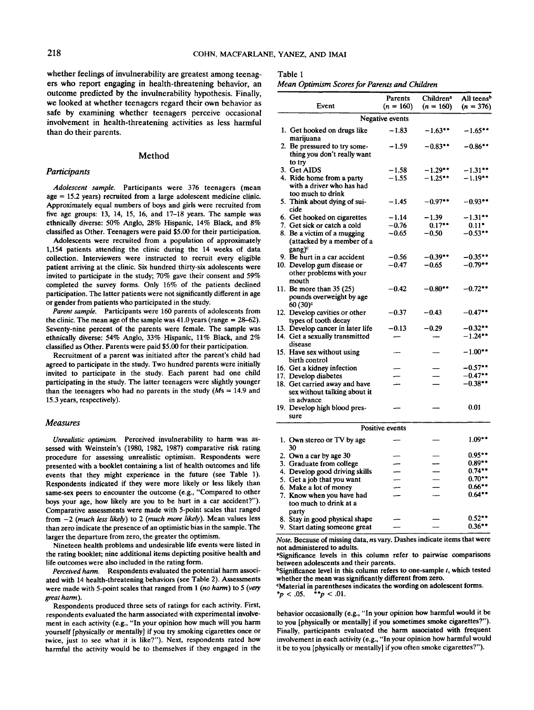whether feelings of invulnerability are greatest among teenagers who report engaging in health-threatening behavior, an outcome predicted by the invulnerability hypothesis. Finally, we looked at whether teenagers regard their own behavior as safe by examining whether teenagers perceive occasional involvement in health-threatening activities as less harmful than do their parents.

## Method

## *Participants*

*Adolescent sample.* Participants were 376 teenagers (mean age = 15.2 years) recruited from a large adolescent medicine clinic. Approximately equal numbers of boys and girls were recruited from five age groups: 13, 14, 15, 16, and 17-18 years. The sample was ethnically diverse: 50% Anglo, 28% Hispanic, 14% Black, and 8% classified as Other. Teenagers were paid \$5.00 for their participation.

Adolescents were recruited from a population of approximately 1,154 patients attending the clinic during the 14 weeks of data collection. Interviewers were instructed to recruit every eligible patient arriving at the clinic. Six hundred thirty-six adolescents were invited to participate in the study; 70% gave their consent and 59% completed the survey forms. Only 16% of the patients declined participation. The latter patients were not significantly different in age or gender from patients who participated in the study.

*Parent sample.* Participants were 160 parents of adolescents from the clinic. The mean age of the sample was  $41.0$  years (range = 28-62). Seventy-nine percent of the parents were female. The sample was ethnically diverse: 54% Anglo, 33% Hispanic, 11% Black, and 2% classified as Other. Parents were paid \$5.00 for their participation.

Recruitment of a parent was initiated after the parent's child had agreed to participate in the study. Two hundred parents were initially invited to participate in the study. Each parent had one child participating in the study. The latter teenagers were slightly younger than the teenagers who had no parents in the study  $(Ms = 14.9$  and 15.3 years, respectively).

#### *Measures*

*Unrealistic optimism.* Perceived invulnerability to harm was assessed with Weinstein's (1980, 1982, 1987) comparative risk rating procedure for assessing unrealistic optimism. Respondents were presented with a booklet containing a list of health outcomes and life events that they might experience in the future (see Table 1). Respondents indicated if they were more likely or less likely than same-sex peers to encounter the outcome (e.g., "Compared to other boys your age, how likely are you to be hurt in a car accident?"). Comparative assessments were made with 5-point scales that ranged from -2 *(much less likely)* to 2 *(much more likely).* Mean values less than zero indicate the presence of an optimistic bias in the sample. The larger the departure from zero, the greater the optimism.

Nineteen health problems and undesirable life events were listed in the rating booklet; nine additional items depicting positive health and life outcomes were also included in the rating form.

*Perceived harm.* Respondents evaluated the potential harm associated with 14 health-threatening behaviors (see Table 2). Assessments were made with 5-point scales that ranged from 1 *(no harm)* to 5 *(very great harm).*

Respondents produced three sets of ratings for each activity. First, respondents evaluated the harm associated with experimental involvement in each activity (e.g., "In your opinion how much will you harm yourself [physically or mentally] if you try smoking cigarettes once or twice, just to see what it is like?"). Next, respondents rated how harmful the activity would be to themselves if they engaged in the

## Table 1

|  |  |  | Mean Optimism Scores for Parents and Children |  |
|--|--|--|-----------------------------------------------|--|
|--|--|--|-----------------------------------------------|--|

|                 | Event                                                                           | Parents<br>$(n = 160)$ | Children <sup>a</sup><br>$(n = 160)$ | All teens <sup>b</sup><br>$(n = 376)$ |  |  |  |  |  |
|-----------------|---------------------------------------------------------------------------------|------------------------|--------------------------------------|---------------------------------------|--|--|--|--|--|
| Negative events |                                                                                 |                        |                                      |                                       |  |  |  |  |  |
|                 | 1. Get hooked on drugs like<br>marijuana                                        | $-1.83$                | $-1.63$ **                           | -1.65**                               |  |  |  |  |  |
|                 | 2. Be pressured to try some-<br>thing you don't really want                     | -1.59                  | $-0.83$ **                           | $-0.86$ **                            |  |  |  |  |  |
|                 | to try<br>3. Get AIDS                                                           | -1.58                  | $-1.29***$                           | $-1.31$ **                            |  |  |  |  |  |
|                 | 4. Ride home from a party<br>with a driver who has had<br>too much to drink     | $-1.55$                | $-1.25**$                            | $-1.19***$                            |  |  |  |  |  |
|                 | 5. Think about dying of sui-<br>cide                                            | $-1.45$                | $-0.97**$                            | $-0.93$ **                            |  |  |  |  |  |
|                 | 6. Get hooked on cigarettes                                                     | $-1.14$                | $-1.39$                              | $-1.31***$                            |  |  |  |  |  |
|                 | 7. Get sick or catch a cold                                                     | $-0.76$                | $0.17***$                            | $0.11*$                               |  |  |  |  |  |
|                 | 8. Be a victim of a mugging<br>(attacked by a member of a<br>gang) <sup>c</sup> | $-0.65$                | $-0.50$                              | $-0.53**$                             |  |  |  |  |  |
|                 | 9. Be hurt in a car accident                                                    | -0.56                  | $-0.39$ **                           | $-0.35$ **                            |  |  |  |  |  |
|                 | 10. Develop gum disease or<br>other problems with your<br>mouth                 | -0.47                  | $-0.65$                              | $-0.79$ **                            |  |  |  |  |  |
|                 | 11. Be more than 35 (25)<br>pounds overweight by age<br>$60(30)$ <sup>c</sup>   | $-0.42$                | $-0.80**$                            | $-0.72$ **                            |  |  |  |  |  |
|                 | 12. Develop cavities or other<br>types of tooth decay                           | $-0.37$                | $-0.43$                              | $-0.47$ **                            |  |  |  |  |  |
|                 | 13. Develop cancer in later life<br>14. Get a sexually transmitted              | $-0.13$                | $-0.29$                              | $-0.32**$<br>$-1.24$ **               |  |  |  |  |  |
|                 | disease<br>15. Have sex without using<br>birth control                          |                        |                                      | $-1.00**$                             |  |  |  |  |  |
|                 | 16. Get a kidney infection                                                      |                        |                                      | $-0.57**$                             |  |  |  |  |  |
|                 | 17. Develop diabetes                                                            |                        |                                      | $-0.47**$                             |  |  |  |  |  |
|                 | 18. Get carried away and have<br>sex without talking about it<br>in advance     |                        |                                      | $-0.38$ **                            |  |  |  |  |  |
|                 | 19. Develop high blood pres-<br>sure                                            |                        |                                      | 0.01                                  |  |  |  |  |  |
|                 |                                                                                 | Positive events        |                                      |                                       |  |  |  |  |  |
|                 | 1. Own stereo or TV by age<br>30                                                |                        |                                      | $1.09**$                              |  |  |  |  |  |
|                 | 2. Own a car by age 30                                                          |                        |                                      | $0.95***$                             |  |  |  |  |  |
|                 | 3. Graduate from college                                                        |                        |                                      | $0.89**$                              |  |  |  |  |  |
|                 | 4. Develop good driving skills                                                  |                        |                                      | $0.74**$                              |  |  |  |  |  |
|                 | 5. Get a job that you want                                                      |                        |                                      | $0.70**$                              |  |  |  |  |  |
|                 | 6. Make a lot of money                                                          | ---                    |                                      | $0.66***$                             |  |  |  |  |  |
|                 | 7. Know when you have had<br>too much to drink at a                             |                        |                                      | $0.64***$                             |  |  |  |  |  |
|                 | party<br>8. Stay in good physical shape                                         |                        |                                      | $0.52***$                             |  |  |  |  |  |
|                 | 9. Start dating someone great                                                   |                        |                                      | $0.36***$                             |  |  |  |  |  |

Note. Because of missing data, ns vary. Dashes indicate items that were not administered to adults.

"Significance levels in this column refer to pairwise comparisons between adolescents and their parents.

<sup>b</sup>Significance level in this column refers to one-sample *t*, which tested whether the mean was significantly different from zero.

"Material in parentheses indicates the wording on adolescent forms.<br> $p < .05$ .  $\rightarrow p < .01$ .  $\star$ *\*p* < .01.

behavior occasionally (e.g., "In your opinion how harmful would it be to you [physically or mentally] if you sometimes smoke cigarettes?"). Finally, participants evaluated the harm associated with frequent involvement in each activity (e.g., "In your opinion how harmful would it be to you [physically or mentally] if you often smoke cigarettes?").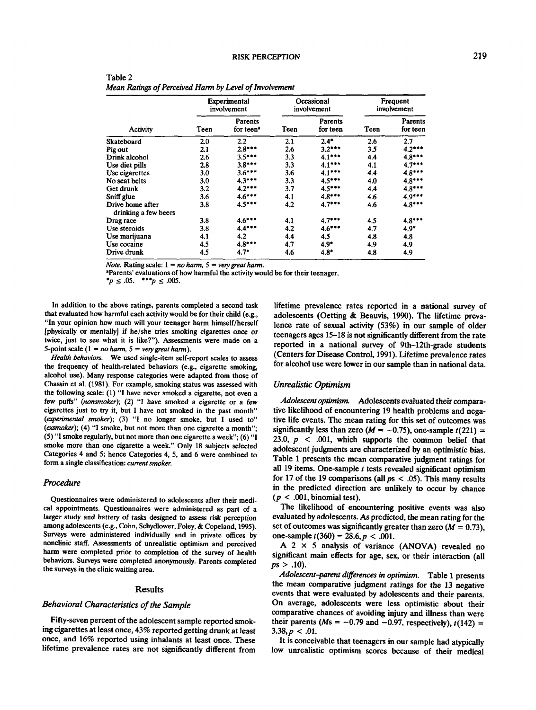| Table 2                                                |
|--------------------------------------------------------|
| Mean Ratings of Perceived Harm by Level of Involvement |

|                                          | Experimental<br>involvement |                                         | Occasional<br>involvement |                            | Frequent<br>involvement |                     |
|------------------------------------------|-----------------------------|-----------------------------------------|---------------------------|----------------------------|-------------------------|---------------------|
| Activity                                 | Teen                        | <b>Parents</b><br>for teen <sup>a</sup> | Teen                      | <b>Parents</b><br>for teen | Teen                    | Parents<br>for teen |
| Skateboard                               | 2.0                         | $2.2\,$                                 | 2.1                       | $2.4*$                     | 2.6                     | 2.7                 |
| Pig out                                  | 2.1                         | $2.8***$                                | 2.6                       | $3.2***$                   | 3.5                     | $4.2***$            |
| Drink alcohol                            | 2.6                         | $3.5***$                                | 3.3                       | $4.1***$                   | 4.4                     | $4.8***$            |
| Use diet pills                           | 2.8                         | $3.8***$                                | 3.3                       | $4.1***$                   | 4.1                     | $4.7***$            |
| Use cigarettes                           | 3.0                         | $3.6***$                                | 3.6                       | $4.1***$                   | 4.4                     | $4.8***$            |
| No seat belts                            | 3.0                         | $4.3***$                                | 3.3                       | $4.5***$                   | 4.0                     | $4.8***$            |
| Get drunk                                | 3.2                         | $4.2***$                                | 3,7                       | $4.5***$                   | 4.4                     | $4.8***$            |
| Sniff glue                               | 3.6                         | $4.6***$                                | 4.1                       | $4.8***$                   | 4.6                     | $4.9***$            |
| Drive home after<br>drinking a few beers | 3.8                         | $4.5***$                                | 4.2                       | $4.7***$                   | 4.6                     | $4.8***$            |
| Drag race                                | 3.8                         | $4.6***$                                | 4.1                       | $4.7***$                   | 4.5                     | $4.8***$            |
| Use steroids                             | 3.8                         | $4.4***$                                | 4.2                       | $4.6***$                   | 4.7                     | $4.9*$              |
| Use marijuana                            | 4.1                         | 4.2                                     | 4.4                       | 4.5                        | 4.8                     | 4.8                 |
| Use cocaine                              | 4.5                         | $4.8***$                                | 4.7                       | $4.9*$                     | 4.9                     | 4.9                 |
| Drive drunk                              | 4.5                         | $4.7*$                                  | 4.6                       | $4.8*$                     | 4.8                     | 4.9                 |

*Note.* Rating scale: 1 = *no ham, 5 = very great harm,*

"Parents' evaluations of how harmful the activity would be for their teenager.

 $*_{p} \le .05.$  \*\*\*p  $\le .005.$ 

In addition to the above ratings, parents completed a second task that evaluated how harmful each activity would be for their child (e.g., "In your opinion how much will your teenager harm himself/herself [physically or mentally] if he/she tries smoking cigarettes once or twice, just to see what it is like?"). Assessments were made on a 5-point scale  $(1 = no \, \text{ham}, 5 = \text{very great} \, \text{ham}).$ 

*Health behaviors.* We used single-item self-report scales to assess the frequency of health-related behaviors (e.g., cigarette smoking, alcohol use). Many response categories were adapted from those of Chassin et al. (1981). For example, smoking status was assessed with the following scale: (1) "I have never smoked a cigarette, not even a few puffs" *(nonsmoker);* (2) "I have smoked a cigarette or a few cigarettes just to try it, but I have not smoked in the past month" *(experimental smoker);* (3) "I no longer smoke, but I used to" *(exsmoker);* (4) "I smoke, but not more than one cigarette a month"; (5) "I smoke regularly, but not more than one cigarette a week"; (6) "I smoke more than one cigarette a week." Only 18 subjects selected Categories 4 and 5; hence Categories 4, 5, and 6 were combined to form a single classification: *current smoker.*

## *Procedure*

Questionnaires were administered to adolescents after their medical appointments. Questionnaires were administered as part of a larger study and battery of tasks designed to assess risk perception among adolescents (e.g., Cohn, Schydlower, Foley, & Copeland, 1995). Surveys were administered individually and in private offices by nonclinic staff. Assessments of unrealistic optimism and perceived harm were completed prior to completion of the survey of health behaviors. Surveys were completed anonymously. Parents completed the surveys in the clinic waiting area.

## Results

## *Behavioral Characteristics of the Sample*

Fifty-seven percent of the adolescent sample reported smoking cigarettes at least once, 43% reported getting drunk at least once, and 16% reported using inhalants at least once. These lifetime prevalence rates are not significantly different from

lifetime prevalence rates reported in a national survey of adolescents (Getting & Beauvis, 1990). The lifetime prevalence rate of sexual activity (53%) in our sample of older teenagers ages 15-18 is not significantly different from the rate reported in a national survey of 9th-12th-grade students (Centers for Disease Control, 1991). Lifetime prevalence rates for alcohol use were lower in our sample than in national data.

## *Unrealistic Optimism*

*Adolescent optimism.* Adolescents evaluated their comparative likelihood of encountering 19 health problems and negative life events. The mean rating for this set of outcomes was significantly less than zero  $(M = -0.75)$ , one-sample  $t(221)$  = 23.0, *p <* .001, which supports the common belief that adolescent judgments are characterized by an optimistic bias. Table 1 presents the mean comparative judgment ratings for all 19 items. One-sample *t* tests revealed significant optimism for 17 of the 19 comparisons (all  $ps < .05$ ). This many results in the predicted direction are unlikely to occur by chance  $(p < .001, binomial test)$ .

The likelihood of encountering positive events was also evaluated by adolescents. As predicted, the mean rating for the set of outcomes was significantly greater than zero  $(M = 0.73)$ , one-sample  $t(360) = 28.6, p < .001$ .

A 2  $\times$  5 analysis of variance (ANOVA) revealed no significant main effects for age, sex, or their interaction (all *ps >* .10).

*Adolescent-parent differences in optimism.* Table 1 presents the mean comparative judgment ratings for the 13 negative events that were evaluated by adolescents and their parents. On average, adolescents were less optimistic about their comparative chances of avoiding injury and illness than were their parents ( $Ms = -0.79$  and  $-0.97$ , respectively),  $t(142) =$  $3.38, p < .01$ .

It is conceivable that teenagers in our sample had atypically low unrealistic optimism scores because of their medical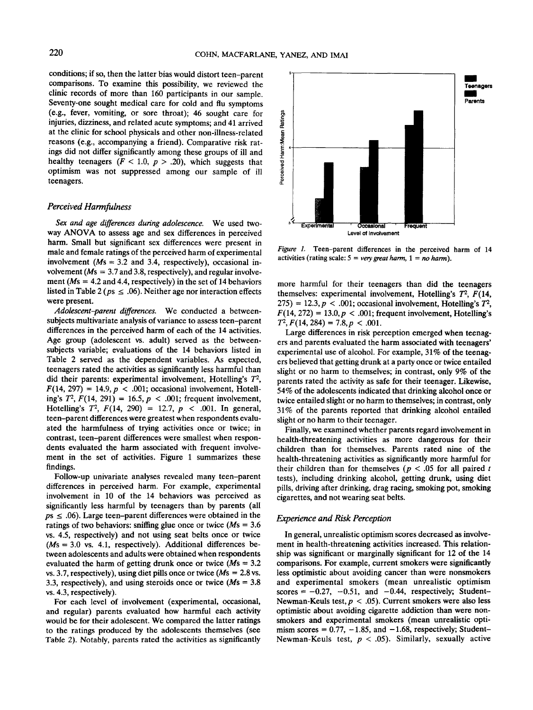conditions; if so, then the latter bias would distort teen-parent comparisons. To examine this possibility, we reviewed the clinic records of more than 160 participants in our sample. Seventy-one sought medical care for cold and flu symptoms (e.g., fever, vomiting, or sore throat); 46 sought care for injuries, dizziness, and related acute symptoms; and 41 arrived at the clinic for school physicals and other non-illness-related reasons (e.g., accompanying a friend). Comparative risk ratings did not differ significantly among these groups of ill and healthy teenagers  $(F < 1.0, p > .20)$ , which suggests that optimism was not suppressed among our sample of ill teenagers.

## *Perceived Harmfulness*

*Sex and age differences during adolescence.* We used twoway ANOVA to assess age and sex differences in perceived harm. Small but significant sex differences were present in male and female ratings of the perceived harm of experimental involvement *(Ms* = 3.2 and 3.4, respectively), occasional involvement *(Ms =* 3.7 and 3.8, respectively), and regular involvement ( $Ms = 4.2$  and 4.4, respectively) in the set of 14 behaviors listed in Table 2 ( $ps \le .06$ ). Neither age nor interaction effects were present.

*Adolescent-parent differences.* We conducted a betweensubjects multivariate analysis of variance to assess teen-parent differences in the perceived harm of each of the 14 activities. Age group (adolescent vs. adult) served as the betweensubjects variable; evaluations of the 14 behaviors listed in Table 2 served as the dependent variables. As expected, teenagers rated the activities as significantly less harmful than did their parents: experimental involvement, Hotelling's *T<sup>2</sup> ,*  $F(14, 297) = 14.9$ ,  $p < .001$ ; occasional involvement, Hotelling's  $T^2$ ,  $F(14, 291) = 16.5$ ,  $p < .001$ ; frequent involvement, Hotelling's  $T^2$ ,  $F(14, 290) = 12.7$ ,  $p < .001$ . In general, teen-parent differences were greatest when respondents evaluated the harmfulness of trying activities once or twice; in contrast, teen-parent differences were smallest when respondents evaluated the harm associated with frequent involvement in the set of activities. Figure 1 summarizes these findings.

Follow-up univariate analyses revealed many teen-parent differences in perceived harm. For example, experimental involvement in 10 of the 14 behaviors was perceived as significantly less harmful by teenagers than by parents (all  $ps \le .06$ ). Large teen-parent differences were obtained in the ratings of two behaviors: sniffing glue once or twice *(Ms* = 3.6 vs. 4.5, respectively) and not using seat belts once or twice  $(Ms = 3.0 \text{ vs. } 4.1, \text{ respectively})$ . Additional differences between adolescents and adults were obtained when respondents evaluated the harm of getting drunk once or twice  $(Ms = 3.2)$ vs. 3.7, respectively), using diet pills once or twice  $(Ms = 2.8 \text{ vs.})$ 3.3, respectively), and using steroids once or twice  $(Ms = 3.8$ vs. 4.3, respectively).

For each level of involvement (experimental, occasional, and regular) parents evaluated how harmful each activity would be for their adolescent. We compared the latter ratings to the ratings produced by the adolescents themselves (see Table 2). Notably, parents rated the activities as significantly



*Figure 1.* Teen-parent differences in the perceived harm of 14 activities (rating scale:  $5 = \text{very great harm}, 1 = \text{no harm}.$ ).

more harmful for their teenagers than did the teenagers themselves: experimental involvement, Hotelling's *T<sup>2</sup> , F(14,*  $(275) = 12.3, p < .001$ ; occasional involvement, Hotelling's  $T^2$ ,  $F(14, 272) = 13.0, p < .001$ ; frequent involvement, Hotelling's  $T^2$ ,  $F(14, 284) = 7.8$ ,  $p < .001$ .

Large differences in risk perception emerged when teenagers and parents evaluated the harm associated with teenagers' experimental use of alcohol. For example, 31% of the teenagers believed that getting drunk at a party once or twice entailed slight or no harm to themselves; in contrast, only 9% of the parents rated the activity as safe for their teenager. Likewise, 54% of the adolescents indicated that drinking alcohol once or twice entailed slight or no harm to themselves; in contrast, only 31% of the parents reported that drinking alcohol entailed slight or no harm to their teenager.

Finally, we examined whether parents regard involvement in health-threatening activities as more dangerous for their children than for themselves. Parents rated nine of the health-threatening activities as significantly more harmful for their children than for themselves *(p <* .05 for all paired *t* tests), including drinking alcohol, getting drunk, using diet pills, driving after drinking, drag racing, smoking pot, smoking cigarettes, and not wearing seat belts.

## *Experience and Risk Perception*

In general, unrealistic optimism scores decreased as involvement in health-threatening activities increased. This relationship was significant or marginally significant for 12 of the 14 comparisons. For example, current smokers were significantly less optimistic about avoiding cancer than were nonsmokers and experimental smokers (mean unrealistic optimism scores  $= -0.27, -0.51,$  and  $-0.44$ , respectively; Student-Newman-Keuls test,  $p < .05$ ). Current smokers were also less optimistic about avoiding cigarette addiction than were nonsmokers and experimental smokers (mean unrealistic optimism scores =  $0.77$ ,  $-1.85$ , and  $-1.68$ , respectively; Student-Newman-Keuls test, *p <* .05). Similarly, sexually active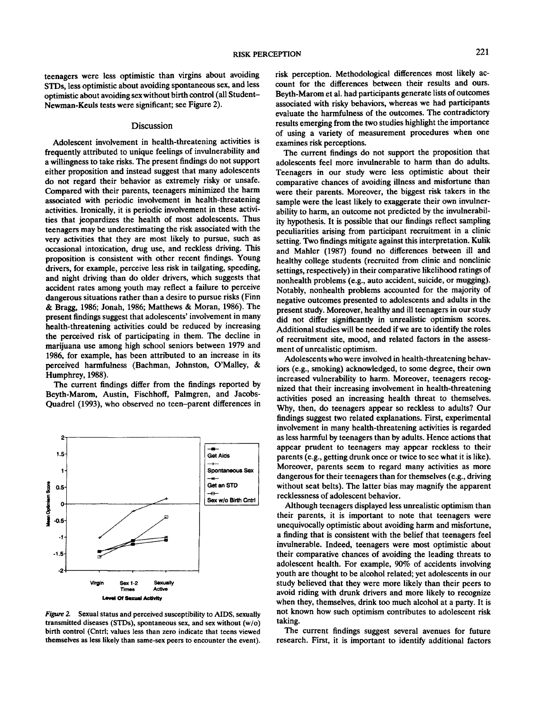teenagers were less optimistic than virgins about avoiding STDs, less optimistic about avoiding spontaneous sex, and less optimistic about avoiding sex without birth control (all Student-Newman-Keuls tests were significant; see Figure 2).

## Discussion

Adolescent involvement in health-threatening activities is frequently attributed to unique feelings of invulnerability and a willingness to take risks. The present findings do not support either proposition and instead suggest that many adolescents do not regard their behavior as extremely risky or unsafe. Compared with their parents, teenagers minimized the harm associated with periodic involvement in health-threatening activities. Ironically, it is periodic involvement in these activities that jeopardizes the health of most adolescents. Thus teenagers may be underestimating the risk associated with the very activities that they are most likely to pursue, such as occasional intoxication, drug use, and reckless driving. This proposition is consistent with other recent findings. Young drivers, for example, perceive less risk in tailgating, speeding, and night driving than do older drivers, which suggests that accident rates among youth may reflect a failure to perceive dangerous situations rather than a desire to pursue risks (Finn & Bragg, 1986; Jonah, 1986; Matthews & Moran, 1986). The present findings suggest that adolescents' involvement in many health-threatening activities could be reduced by increasing the perceived risk of participating in them. The decline in marijuana use among high school seniors between 1979 and 1986, for example, has been attributed to an increase in its perceived harmfulness (Bachman, Johnston, O'Malley, & Humphrey, 1988).

The current findings differ from the findings reported by Beyth-Marom, Austin, Fischhoff, Palmgren, and Jacobs-Quadrel (1993), who observed no teen-parent differences in



*Figure 2.* Sexual status and perceived susceptibility to AIDS, sexually transmitted diseases (STDs), spontaneous sex, and sex without (w/o) birth control (Cntrl; values less than zero indicate that teens viewed themselves as less likely than same-sex peers to encounter the event).

risk perception. Methodological differences most likely account for the differences between their results and ours. Beyth-Marom et al. had participants generate lists of outcomes associated with risky behaviors, whereas we had participants evaluate the harmfulness of the outcomes. The contradictory results emerging from the two studies highlight the importance of using a variety of measurement procedures when one examines risk perceptions.

The current findings do not support the proposition that adolescents feel more invulnerable to harm than do adults. Teenagers in our study were less optimistic about their comparative chances of avoiding illness and misfortune than were their parents. Moreover, the biggest risk takers in the sample were the least likely to exaggerate their own invulnerability to harm, an outcome not predicted by the invulnerability hypothesis. It is possible that our findings reflect sampling peculiarities arising from participant recruitment in a clinic setting. Two findings mitigate against this interpretation. Kulik and Mahler (1987) found no differences between ill and healthy college students (recruited from clinic and nonclinic settings, respectively) in their comparative likelihood ratings of nonhealth problems (e.g., auto accident, suicide, or mugging). Notably, nonhealth problems accounted for the majority of negative outcomes presented to adolescents and adults in the present study. Moreover, healthy and ill teenagers in our study did not differ significantly in unrealistic optimism scores. Additional studies will be needed if we are to identify the roles of recruitment site, mood, and related factors in the assessment of unrealistic optimism.

Adolescents who were involved in health-threatening behaviors (e.g., smoking) acknowledged, to some degree, their own increased vulnerability to harm. Moreover, teenagers recognized that their increasing involvement in health-threatening activities posed an increasing health threat to themselves. Why, then, do teenagers appear so reckless to adults? Our findings suggest two related explanations. First, experimental involvement in many health-threatening activities is regarded as less harmful by teenagers than by adults. Hence actions that appear prudent to teenagers may appear reckless to their parents (e.g., getting drunk once or twice to see what it is like). Moreover, parents seem to regard many activities as more dangerous for their teenagers than for themselves (e.g., driving without seat belts). The latter bias may magnify the apparent recklessness of adolescent behavior.

Although teenagers displayed less unrealistic optimism than their parents, it is important to note that teenagers were unequivocally optimistic about avoiding harm and misfortune, a finding that is consistent with the belief that teenagers feel invulnerable. Indeed, teenagers were most optimistic about their comparative chances of avoiding the leading threats to adolescent health. For example, 90% of accidents involving youth are thought to be alcohol related; yet adolescents in our study believed that they were more likely than their peers to avoid riding with drunk drivers and more likely to recognize when they, themselves, drink too much alcohol at a party. It is not known how such optimism contributes to adolescent risk taking.

The current findings suggest several avenues for future research. First, it is important to identify additional factors